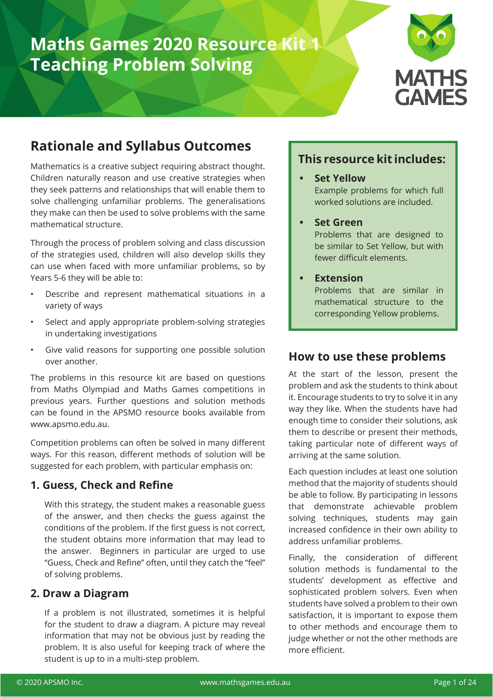# **Maths Games 2020 Resource Kit 1 Teaching Problem Solving**



### **Rationale and Syllabus Outcomes**

Mathematics is a creative subject requiring abstract thought. Children naturally reason and use creative strategies when they seek patterns and relationships that will enable them to solve challenging unfamiliar problems. The generalisations they make can then be used to solve problems with the same mathematical structure.

Through the process of problem solving and class discussion of the strategies used, children will also develop skills they can use when faced with more unfamiliar problems, so by Years 5-6 they will be able to:

- Describe and represent mathematical situations in a variety of ways
- Select and apply appropriate problem-solving strategies in undertaking investigations
- Give valid reasons for supporting one possible solution over another.

The problems in this resource kit are based on questions from Maths Olympiad and Maths Games competitions in previous years. Further questions and solution methods can be found in the APSMO resource books available from www.apsmo.edu.au.

Competition problems can often be solved in many different ways. For this reason, different methods of solution will be suggested for each problem, with particular emphasis on:

#### **1. Guess, Check and Refine**

With this strategy, the student makes a reasonable guess of the answer, and then checks the guess against the conditions of the problem. If the first guess is not correct, the student obtains more information that may lead to the answer. Beginners in particular are urged to use "Guess, Check and Refine" often, until they catch the "feel" of solving problems.

#### **2. Draw a Diagram**

If a problem is not illustrated, sometimes it is helpful for the student to draw a diagram. A picture may reveal information that may not be obvious just by reading the problem. It is also useful for keeping track of where the student is up to in a multi-step problem.

### **This resource kit includes:**

- **• Set Yellow** Example problems for which full worked solutions are included.
- **• Set Green**

Problems that are designed to be similar to Set Yellow, but with fewer difficult elements.

#### **• Extension**

Problems that are similar in mathematical structure to the corresponding Yellow problems.

### **How to use these problems**

At the start of the lesson, present the problem and ask the students to think about it. Encourage students to try to solve it in any way they like. When the students have had enough time to consider their solutions, ask them to describe or present their methods, taking particular note of different ways of arriving at the same solution.

Each question includes at least one solution method that the majority of students should be able to follow. By participating in lessons that demonstrate achievable problem solving techniques, students may gain increased confidence in their own ability to address unfamiliar problems.

Finally, the consideration of different solution methods is fundamental to the students' development as effective and sophisticated problem solvers. Even when students have solved a problem to their own satisfaction, it is important to expose them to other methods and encourage them to judge whether or not the other methods are more efficient.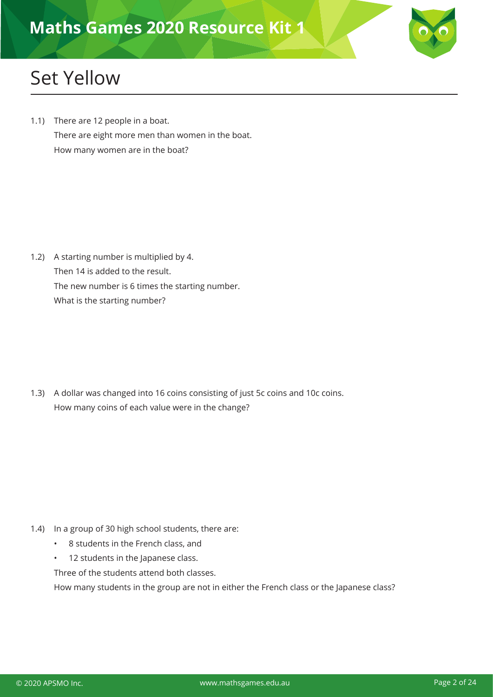

# Set Yellow

1.1) There are 12 people in a boat. There are eight more men than women in the boat. How many women are in the boat?

1.2) A starting number is multiplied by 4. Then 14 is added to the result. The new number is 6 times the starting number. What is the starting number?

1.3) A dollar was changed into 16 coins consisting of just 5c coins and 10c coins. How many coins of each value were in the change?

- 1.4) In a group of 30 high school students, there are:
	- 8 students in the French class, and
	- 12 students in the Japanese class.

Three of the students attend both classes.

How many students in the group are not in either the French class or the Japanese class?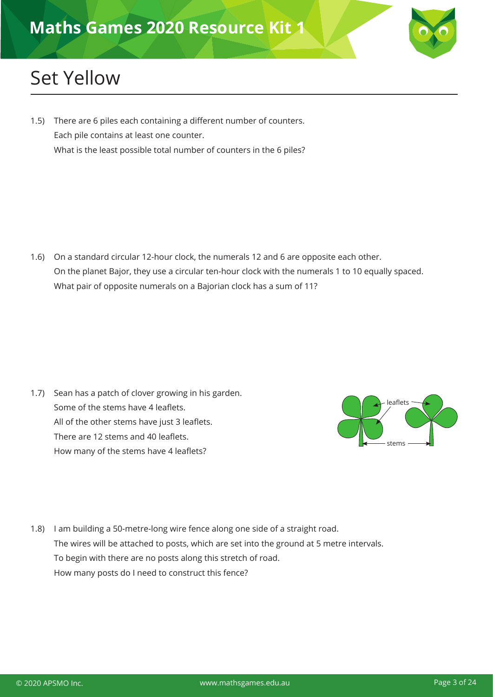# Set Yellow

1.5) There are 6 piles each containing a different number of counters. Each pile contains at least one counter. What is the least possible total number of counters in the 6 piles?

1.6) On a standard circular 12-hour clock, the numerals 12 and 6 are opposite each other. On the planet Bajor, they use a circular ten-hour clock with the numerals 1 to 10 equally spaced. What pair of opposite numerals on a Bajorian clock has a sum of 11?

1.7) Sean has a patch of clover growing in his garden. Some of the stems have 4 leaflets. All of the other stems have just 3 leaflets. There are 12 stems and 40 leaflets. How many of the stems have 4 leaflets?



1.8) I am building a 50-metre-long wire fence along one side of a straight road. The wires will be attached to posts, which are set into the ground at 5 metre intervals. To begin with there are no posts along this stretch of road. How many posts do I need to construct this fence?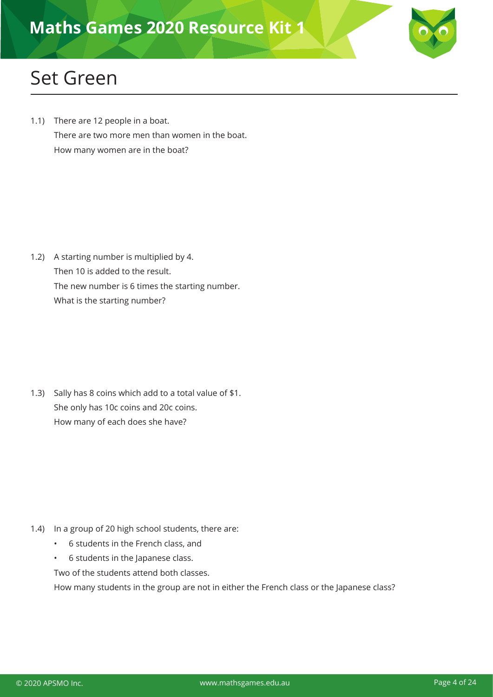

### Set Green

1.1) There are 12 people in a boat. There are two more men than women in the boat. How many women are in the boat?

1.2) A starting number is multiplied by 4. Then 10 is added to the result. The new number is 6 times the starting number. What is the starting number?

1.3) Sally has 8 coins which add to a total value of \$1. She only has 10c coins and 20c coins. How many of each does she have?

- 1.4) In a group of 20 high school students, there are:
	- 6 students in the French class, and
	- 6 students in the Japanese class.

Two of the students attend both classes.

How many students in the group are not in either the French class or the Japanese class?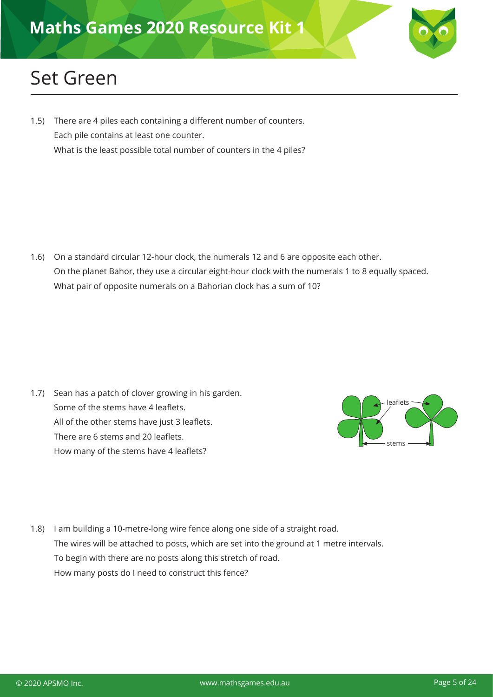### Set Green

1.5) There are 4 piles each containing a different number of counters. Each pile contains at least one counter. What is the least possible total number of counters in the 4 piles?

1.6) On a standard circular 12-hour clock, the numerals 12 and 6 are opposite each other. On the planet Bahor, they use a circular eight-hour clock with the numerals 1 to 8 equally spaced. What pair of opposite numerals on a Bahorian clock has a sum of 10?

1.7) Sean has a patch of clover growing in his garden. Some of the stems have 4 leaflets. All of the other stems have just 3 leaflets. There are 6 stems and 20 leaflets. How many of the stems have 4 leaflets?



1.8) I am building a 10-metre-long wire fence along one side of a straight road. The wires will be attached to posts, which are set into the ground at 1 metre intervals. To begin with there are no posts along this stretch of road. How many posts do I need to construct this fence?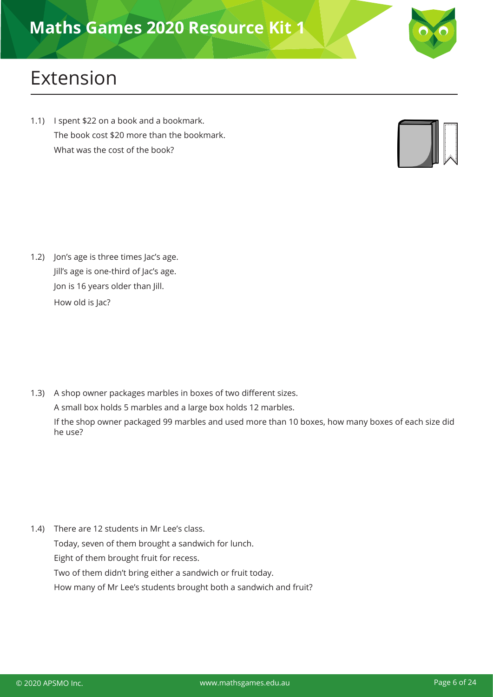

# Extension

1.1) I spent \$22 on a book and a bookmark. The book cost \$20 more than the bookmark. What was the cost of the book?



1.2) Jon's age is three times Jac's age. Jill's age is one-third of Jac's age. Jon is 16 years older than Jill. How old is Jac?

1.3) A shop owner packages marbles in boxes of two different sizes. A small box holds 5 marbles and a large box holds 12 marbles.

If the shop owner packaged 99 marbles and used more than 10 boxes, how many boxes of each size did he use?

1.4) There are 12 students in Mr Lee's class.

Today, seven of them brought a sandwich for lunch.

Eight of them brought fruit for recess.

Two of them didn't bring either a sandwich or fruit today.

How many of Mr Lee's students brought both a sandwich and fruit?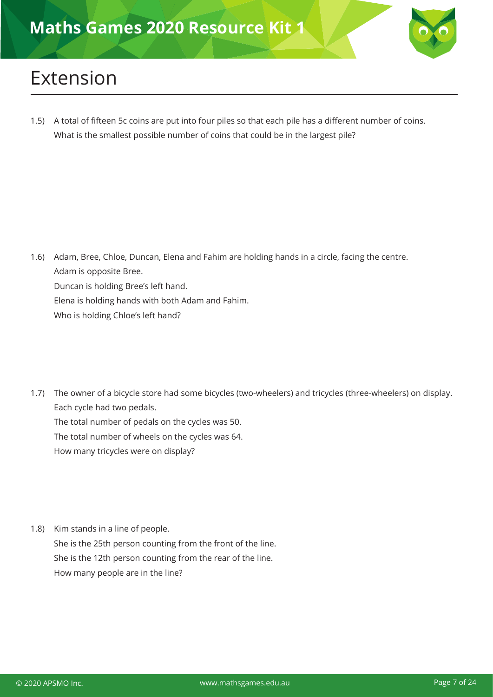

# Extension

1.5) A total of fifteen 5c coins are put into four piles so that each pile has a different number of coins. What is the smallest possible number of coins that could be in the largest pile?

- 1.6) Adam, Bree, Chloe, Duncan, Elena and Fahim are holding hands in a circle, facing the centre. Adam is opposite Bree. Duncan is holding Bree's left hand. Elena is holding hands with both Adam and Fahim. Who is holding Chloe's left hand?
- 1.7) The owner of a bicycle store had some bicycles (two-wheelers) and tricycles (three-wheelers) on display. Each cycle had two pedals. The total number of pedals on the cycles was 50. The total number of wheels on the cycles was 64. How many tricycles were on display?
- 1.8) Kim stands in a line of people. She is the 25th person counting from the front of the line. She is the 12th person counting from the rear of the line. How many people are in the line?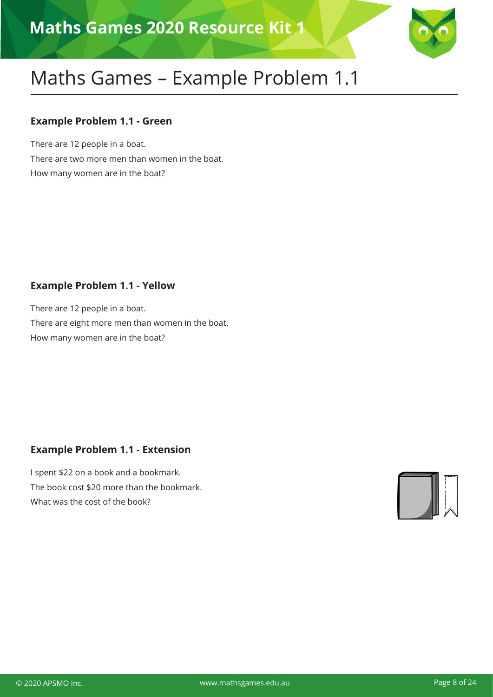

#### **Example Problem 1.1 - Green**

There are 12 people in a boat. There are two more men than women in the boat. How many women are in the boat?

#### **Example Problem 1.1 - Yellow**

There are 12 people in a boat. There are eight more men than women in the boat. How many women are in the boat?

### **Example Problem 1.1 - Extension**

I spent \$22 on a book and a bookmark. The book cost \$20 more than the bookmark. What was the cost of the book?

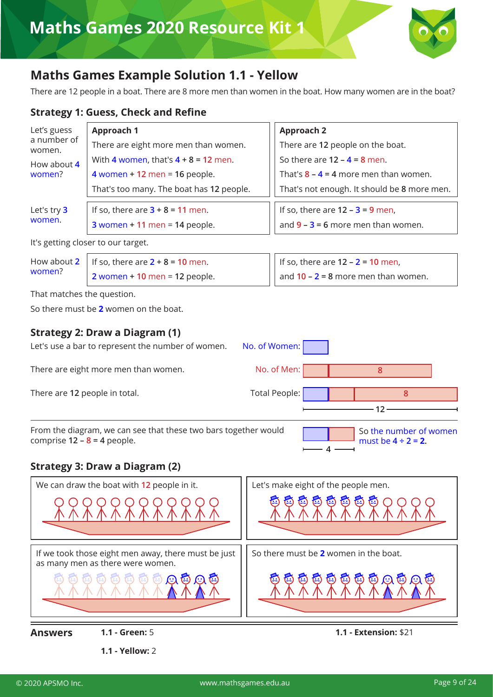

### **Maths Games Example Solution 1.1 - Yellow**

There are 12 people in a boat. There are 8 more men than women in the boat. How many women are in the boat?

#### **Strategy 1: Guess, Check and Refine**

| Let's guess<br>a number of<br>women. | Approach 1                               | <b>Approach 2</b>                           |
|--------------------------------------|------------------------------------------|---------------------------------------------|
|                                      | There are eight more men than women.     | There are 12 people on the boat.            |
| How about 4<br>women?                | With 4 women, that's $4 + 8 = 12$ men.   | So there are $12 - 4 = 8$ men.              |
|                                      | 4 women + 12 men = 16 people.            | That's $8 - 4 = 4$ more men than women.     |
|                                      | That's too many. The boat has 12 people. | That's not enough. It should be 8 more men. |
| Let's try 3                          | If so, there are $3 + 8 = 11$ men.       | If so, there are $12 - 3 = 9$ men,          |
| women.                               | $3$ women + 11 men = 14 people.          | and $9 - 3 = 6$ more men than women.        |
|                                      | It's getting closer to our target.       |                                             |

How about **2** women? If so, there are **2 + 8 = 10** men. **2** women **+ 10** men = **12** people. If so, there are **12 – 2 = 10** men, and **10 – 2 = 8** more men than women.

That matches the question.

So there must be **2** women on the boat.

#### **Strategy 2: Draw a Diagram (1)**

| Let's use a bar to represent the number of women.                                                | No. of Women:        |                                                    |  |
|--------------------------------------------------------------------------------------------------|----------------------|----------------------------------------------------|--|
| There are eight more men than women.                                                             | No. of Men:          | 8                                                  |  |
| There are 12 people in total.                                                                    | <b>Total People:</b> | 8                                                  |  |
| From the diagram, we can see that these two bars together would<br>comprise $12 - 8 = 4$ people. |                      | So the number of women<br>must be $4 \div 2 = 2$ . |  |

#### **Strategy 3: Draw a Diagram (2)**

**1.1 - Yellow:** 2

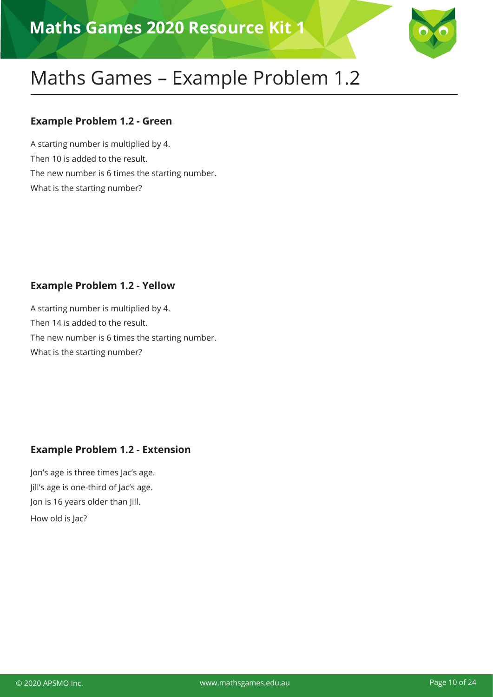

#### **Example Problem 1.2 - Green**

A starting number is multiplied by 4. Then 10 is added to the result. The new number is 6 times the starting number. What is the starting number?

#### **Example Problem 1.2 - Yellow**

A starting number is multiplied by 4. Then 14 is added to the result. The new number is 6 times the starting number. What is the starting number?

#### **Example Problem 1.2 - Extension**

Jon's age is three times Jac's age. Jill's age is one-third of Jac's age. Jon is 16 years older than Jill. How old is Jac?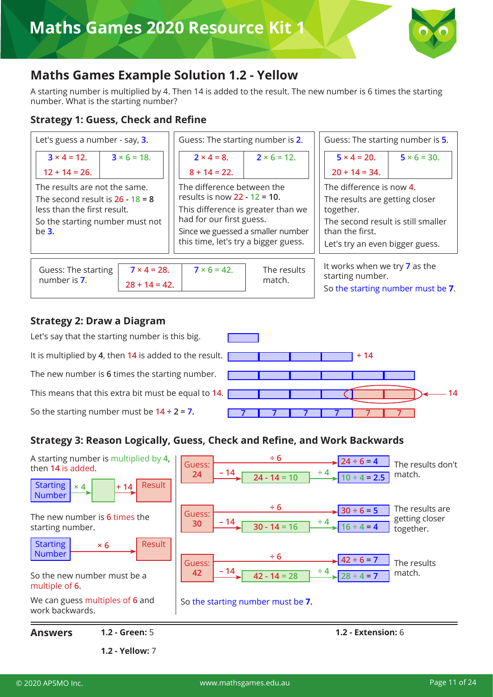

### **Maths Games Example Solution 1.2 - Yellow**

A starting number is multiplied by 4. Then 14 is added to the result. The new number is 6 times the starting number. What is the starting number?

#### **Strategy 1: Guess, Check and Refine**



#### **Strategy 2: Draw a Diagram**



#### **Strategy 3: Reason Logically, Guess, Check and Refine, and Work Backwards**



**1.2 - Yellow:** 7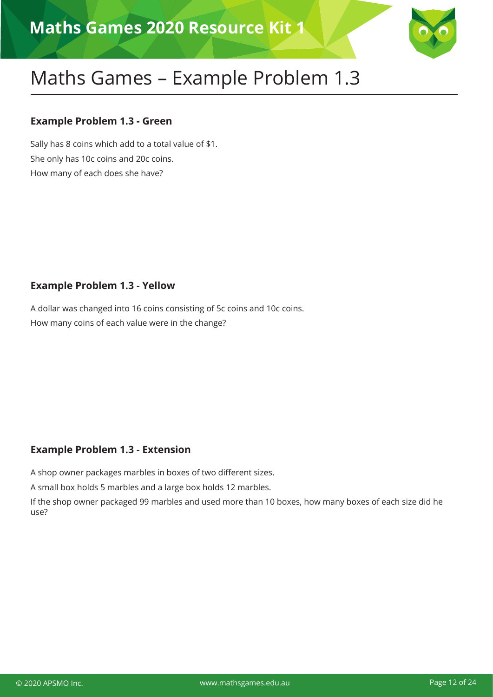

### **Example Problem 1.3 - Green**

Sally has 8 coins which add to a total value of \$1. She only has 10c coins and 20c coins. How many of each does she have?

### **Example Problem 1.3 - Yellow**

A dollar was changed into 16 coins consisting of 5c coins and 10c coins. How many coins of each value were in the change?

### **Example Problem 1.3 - Extension**

A shop owner packages marbles in boxes of two different sizes.

A small box holds 5 marbles and a large box holds 12 marbles.

If the shop owner packaged 99 marbles and used more than 10 boxes, how many boxes of each size did he use?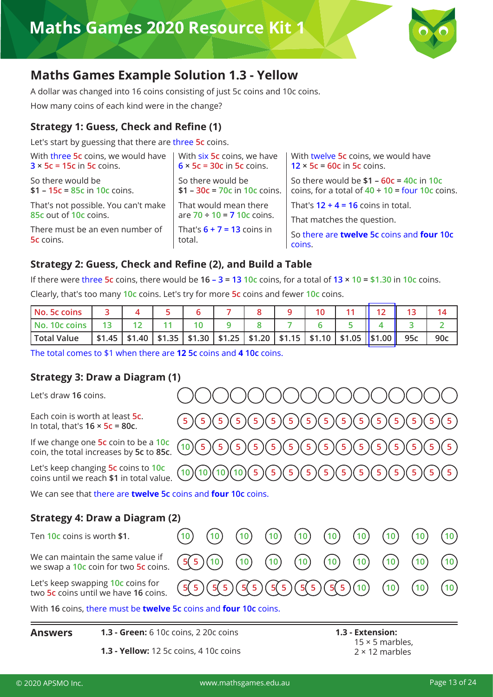

### **Maths Games Example Solution 1.3 - Yellow**

A dollar was changed into 16 coins consisting of just 5c coins and 10c coins.

How many coins of each kind were in the change?

#### **Strategy 1: Guess, Check and Refine (1)**

Let's start by guessing that there are three **5c** coins.

| So there would be<br>So there would be $$1 - 60c = 40c$ in 10c<br>$$1 - 30c = 70c$ in 10c coins.<br>coins, for a total of $40 \div 10 =$ four 10c coins. |
|----------------------------------------------------------------------------------------------------------------------------------------------------------|
|                                                                                                                                                          |
| That would mean there<br>That's $12 + 4 = 16$ coins in total.<br>are $70 \div 10 = 710c$ coins.<br>That matches the question.                            |
| That's $6 + 7 = 13$ coins in<br>So there are twelve 5c coins and four 10c<br>coins.                                                                      |
|                                                                                                                                                          |

#### **Strategy 2: Guess, Check and Refine (2), and Build a Table**

If there were three **5c** coins, there would be **16 – 3 = 13 10c** coins, for a total of **13 × 10 = \$1.30** in **10c** coins.

Clearly, that's too many **10c** coins. Let's try for more **5c** coins and fewer **10c** coins.

| l No. 5c coins           |  |  |  |  |                                                                                          |     |     |
|--------------------------|--|--|--|--|------------------------------------------------------------------------------------------|-----|-----|
| l No. 10c coins          |  |  |  |  |                                                                                          |     |     |
| <sup>I</sup> Total Value |  |  |  |  | $$1.45$   \$1.40   \$1.35   \$1.30   \$1.25   \$1.20   \$1.15   \$1.10   \$1.05   \$1.00 | 95c | 90c |

The total comes to \$1 when there are **12 5c** coins and **4 10c** coins.

#### **Strategy 3: Draw a Diagram (1)**

Let's draw **16** coins.

Each coin is worth at least **5c**. In total, that's **16 × 5c = 80c**. **<sup>5</sup> <sup>5</sup> <sup>5</sup> <sup>5</sup> <sup>5</sup> <sup>5</sup> <sup>5</sup> <sup>5</sup> <sup>5</sup> <sup>5</sup> <sup>5</sup> <sup>5</sup> <sup>5</sup> <sup>5</sup> <sup>5</sup> <sup>5</sup>**

If we change one **5c** coin to be a **10c** coin, the total increases by **5c** to **85c**. **<sup>10</sup> <sup>5</sup> <sup>5</sup> <sup>5</sup> <sup>5</sup> <sup>5</sup> <sup>5</sup> <sup>5</sup> <sup>5</sup> <sup>5</sup> <sup>5</sup> <sup>5</sup> <sup>5</sup> <sup>5</sup> <sup>5</sup> <sup>5</sup>**

Let's keep changing **5c** coins to **10c** coins until we reach **\$1** in total value. **<sup>10</sup> <sup>10</sup> <sup>10</sup> <sup>10</sup> <sup>5</sup> <sup>5</sup> <sup>5</sup> <sup>5</sup> <sup>5</sup> <sup>5</sup> <sup>5</sup> <sup>5</sup> <sup>5</sup> <sup>5</sup> <sup>5</sup> <sup>5</sup>**

We can see that there are **twelve 5c** coins and **four 10c** coins.

#### **Strategy 4: Draw a Diagram (2)**

Ten **10c** coins is worth **\$1**. **10 10 10 10 10 10 10 10 10 10** We can maintain the same value if we swap a **10c** coin for two **5c** coins. **<sup>5</sup> <sup>5</sup> <sup>10</sup> <sup>10</sup> <sup>10</sup> <sup>10</sup> <sup>10</sup> <sup>10</sup> <sup>10</sup> <sup>10</sup> <sup>10</sup>** Let's keep swapping **10c** coins for two **5c** coins until we have **16** coins. **<sup>5</sup> <sup>5</sup> <sup>5</sup> <sup>5</sup> <sup>5</sup> <sup>5</sup> <sup>5</sup> <sup>5</sup> <sup>5</sup> <sup>5</sup> <sup>5</sup> <sup>5</sup> <sup>10</sup> <sup>10</sup> <sup>10</sup> <sup>10</sup>**

With **16** coins, there must be **twelve 5c** coins and **four 10c** coins.

| <b>Answers</b> | <b>1.3 - Green:</b> 6 10c coins, 2 20c coins  | 1.3 - Extension:       |  |  |
|----------------|-----------------------------------------------|------------------------|--|--|
|                |                                               | $15 \times 5$ marbles, |  |  |
|                | <b>1.3 - Yellow:</b> 12 5c coins, 4 10c coins | $2 \times 12$ marbles  |  |  |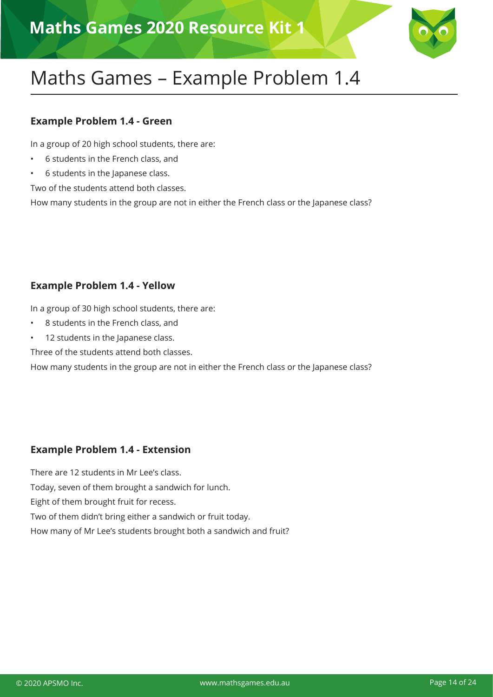

#### **Example Problem 1.4 - Green**

In a group of 20 high school students, there are:

- 6 students in the French class, and
- 6 students in the Japanese class.

Two of the students attend both classes.

How many students in the group are not in either the French class or the Japanese class?

#### **Example Problem 1.4 - Yellow**

In a group of 30 high school students, there are:

- 8 students in the French class, and
- 12 students in the Japanese class.

Three of the students attend both classes.

How many students in the group are not in either the French class or the Japanese class?

#### **Example Problem 1.4 - Extension**

There are 12 students in Mr Lee's class.

Today, seven of them brought a sandwich for lunch.

Eight of them brought fruit for recess.

Two of them didn't bring either a sandwich or fruit today.

How many of Mr Lee's students brought both a sandwich and fruit?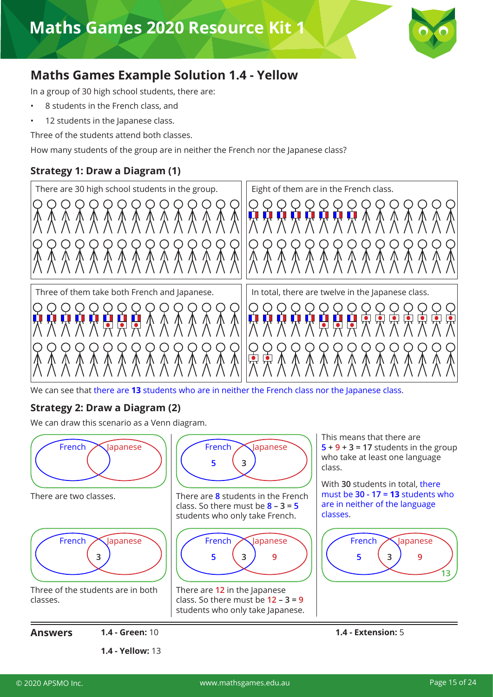

### **Maths Games Example Solution 1.4 - Yellow**

In a group of 30 high school students, there are:

- 8 students in the French class, and
- 12 students in the Japanese class.

Three of the students attend both classes.

How many students of the group are in neither the French nor the Japanese class?

#### **Strategy 1: Draw a Diagram (1)**



We can see that there are **13** students who are in neither the French class nor the Japanese class.

#### **Strategy 2: Draw a Diagram (2)**

We can draw this scenario as a Venn diagram.

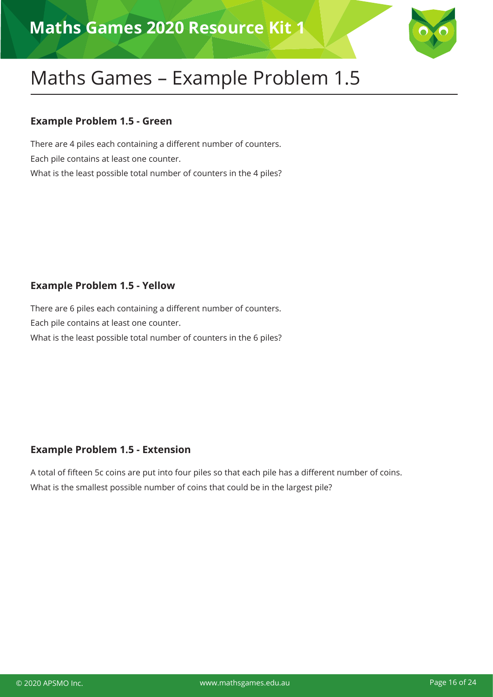

#### **Example Problem 1.5 - Green**

There are 4 piles each containing a different number of counters. Each pile contains at least one counter. What is the least possible total number of counters in the 4 piles?

#### **Example Problem 1.5 - Yellow**

There are 6 piles each containing a different number of counters. Each pile contains at least one counter. What is the least possible total number of counters in the 6 piles?

#### **Example Problem 1.5 - Extension**

A total of fifteen 5c coins are put into four piles so that each pile has a different number of coins. What is the smallest possible number of coins that could be in the largest pile?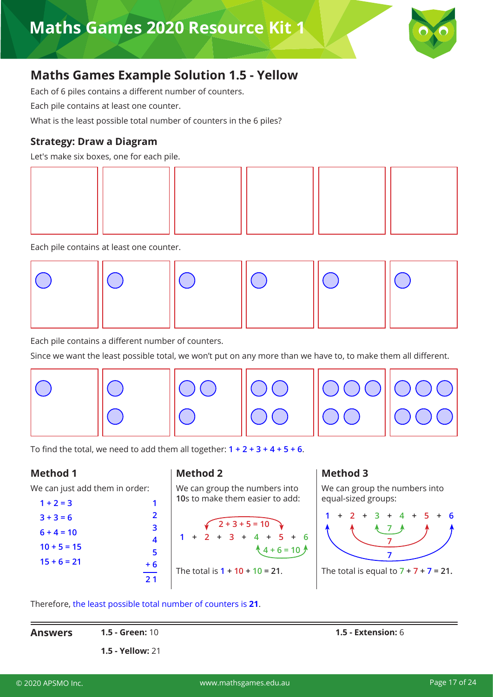

### **Maths Games Example Solution 1.5 - Yellow**

Each of 6 piles contains a different number of counters.

Each pile contains at least one counter.

What is the least possible total number of counters in the 6 piles?

#### **Strategy: Draw a Diagram**

Let's make six boxes, one for each pile.



Each pile contains at least one counter.



Each pile contains a different number of counters.

Since we want the least possible total, we won't put on any more than we have to, to make them all different.



To find the total, we need to add them all together: **1 + 2 + 3 + 4 + 5 + 6**.

#### **Method 1**

We can just add them in order:

| $1 + 2 = 3$   |  |
|---------------|--|
| $3 + 3 = 6$   |  |
| $6 + 4 = 10$  |  |
| $10 + 5 = 15$ |  |
| $15 + 6 = 21$ |  |
|               |  |

#### **Method 2**

We can group the numbers into **10**s to make them easier to add:

$$
1 + 2 + 3 + 4 + 5 + 6
$$
  
1 + 2 + 3 + 4 + 5 + 6  

$$
4 + 6 = 10
$$
  
The total is 1 + 10 + 10 = 21.

#### **Method 3**

We can group the numbers into equal-sized groups:



Therefore, the least possible total number of counters is **21**.

| <b>Answers</b> | <b>1.5 - Green:</b> 10  | <b>1.5 - Extension:</b> $6$ |
|----------------|-------------------------|-----------------------------|
|                | <b>1.5 - Yellow: 21</b> |                             |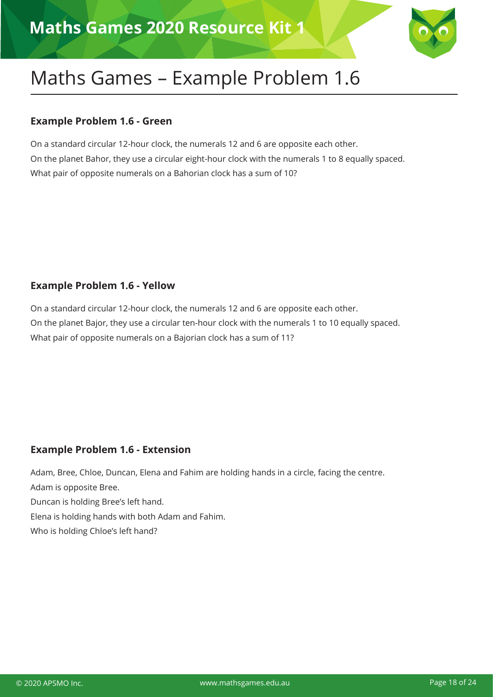

#### **Example Problem 1.6 - Green**

On a standard circular 12-hour clock, the numerals 12 and 6 are opposite each other. On the planet Bahor, they use a circular eight-hour clock with the numerals 1 to 8 equally spaced. What pair of opposite numerals on a Bahorian clock has a sum of 10?

#### **Example Problem 1.6 - Yellow**

On a standard circular 12-hour clock, the numerals 12 and 6 are opposite each other. On the planet Bajor, they use a circular ten-hour clock with the numerals 1 to 10 equally spaced. What pair of opposite numerals on a Bajorian clock has a sum of 11?

#### **Example Problem 1.6 - Extension**

Adam, Bree, Chloe, Duncan, Elena and Fahim are holding hands in a circle, facing the centre. Adam is opposite Bree. Duncan is holding Bree's left hand. Elena is holding hands with both Adam and Fahim. Who is holding Chloe's left hand?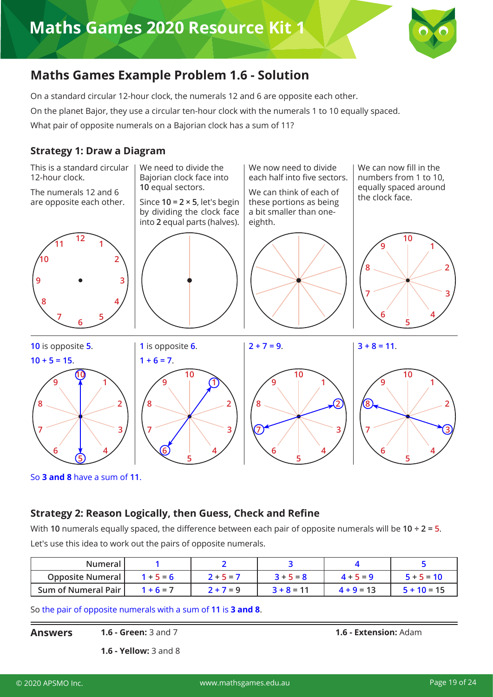

### **Maths Games Example Problem 1.6 - Solution**

On a standard circular 12-hour clock, the numerals 12 and 6 are opposite each other. On the planet Bajor, they use a circular ten-hour clock with the numerals 1 to 10 equally spaced. What pair of opposite numerals on a Bajorian clock has a sum of 11?

#### **Strategy 1: Draw a Diagram**

This is a standard circular 12-hour clock.

The numerals 12 and 6 are opposite each other.



We need to divide the Bajorian clock face into equal sectors.

Since **10 = 2 × 5**, let's begin by dividing the clock face into **2** equal parts (halves).

We now need to divide each half into five sectors.

We can think of each of these portions as being a bit smaller than oneeighth.

We can now fill in the numbers from 1 to 10, equally spaced around the clock face.



 is opposite **5**. **10 + 5 = 15**. is opposite **6**.  $1 + 6 = 7$  $2 + 7 = 9$ .  $3 + 8 = 11$ . 

So **3 and 8** have a sum of **11**.

#### **Strategy 2: Reason Logically, then Guess, Check and Refine**

With **10** numerals equally spaced, the difference between each pair of opposite numerals will be **10 ÷ 2 = 5**. Let's use this idea to work out the pairs of opposite numerals.

| <b>Numeral</b>             |             |             |              |              |               |
|----------------------------|-------------|-------------|--------------|--------------|---------------|
| <b>Opposite Numeral</b>    | $1 + 5 = 6$ | $2 + 5 = 7$ | $3 + 5 = 8$  | $4 + 5 = 9$  | $5 + 5 = 10$  |
| <b>Sum of Numeral Pair</b> | $1 + 6 = 7$ | $2 + 7 = 9$ | $3 + 8 = 11$ | $4 + 9 = 13$ | $5 + 10 = 15$ |

So the pair of opposite numerals with a sum of **11** is **3 and 8**.

**Answers**

**1.6 - Green:** 3 and 7 **1.6 - Extension:** Adam

**1.6 - Yellow:** 3 and 8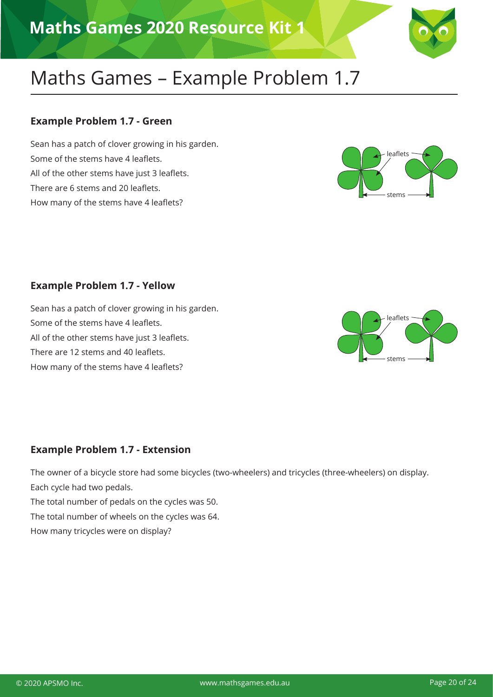

#### **Example Problem 1.7 - Green**

Sean has a patch of clover growing in his garden. Some of the stems have 4 leaflets. All of the other stems have just 3 leaflets. There are 6 stems and 20 leaflets. How many of the stems have 4 leaflets?



#### **Example Problem 1.7 - Yellow**

Sean has a patch of clover growing in his garden. Some of the stems have 4 leaflets. All of the other stems have just 3 leaflets. There are 12 stems and 40 leaflets. How many of the stems have 4 leaflets?



#### **Example Problem 1.7 - Extension**

The owner of a bicycle store had some bicycles (two-wheelers) and tricycles (three-wheelers) on display. Each cycle had two pedals.

The total number of pedals on the cycles was 50.

The total number of wheels on the cycles was 64.

How many tricycles were on display?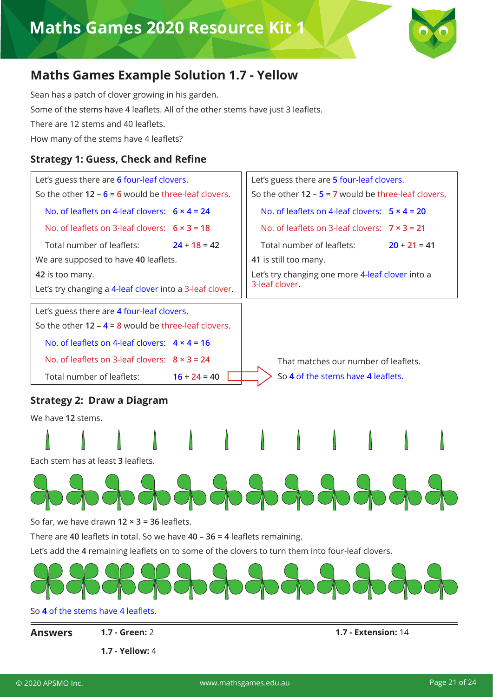

### **Maths Games Example Solution 1.7 - Yellow**

Sean has a patch of clover growing in his garden. Some of the stems have 4 leaflets. All of the other stems have just 3 leaflets. There are 12 stems and 40 leaflets. How many of the stems have 4 leaflets?

#### **Strategy 1: Guess, Check and Refine**





**Answers**

**1.7 - Yellow:** 4

**1.7 - Green:** 2 **1.7 - Extension:** 14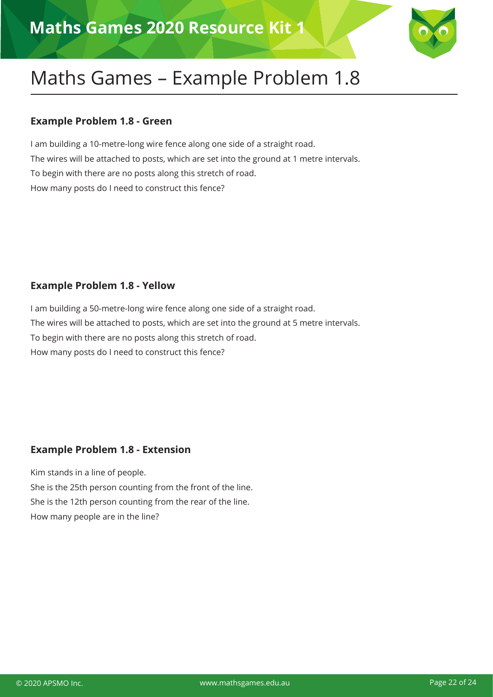

#### **Example Problem 1.8 - Green**

I am building a 10-metre-long wire fence along one side of a straight road. The wires will be attached to posts, which are set into the ground at 1 metre intervals. To begin with there are no posts along this stretch of road. How many posts do I need to construct this fence?

#### **Example Problem 1.8 - Yellow**

I am building a 50-metre-long wire fence along one side of a straight road. The wires will be attached to posts, which are set into the ground at 5 metre intervals. To begin with there are no posts along this stretch of road. How many posts do I need to construct this fence?

#### **Example Problem 1.8 - Extension**

Kim stands in a line of people. She is the 25th person counting from the front of the line. She is the 12th person counting from the rear of the line. How many people are in the line?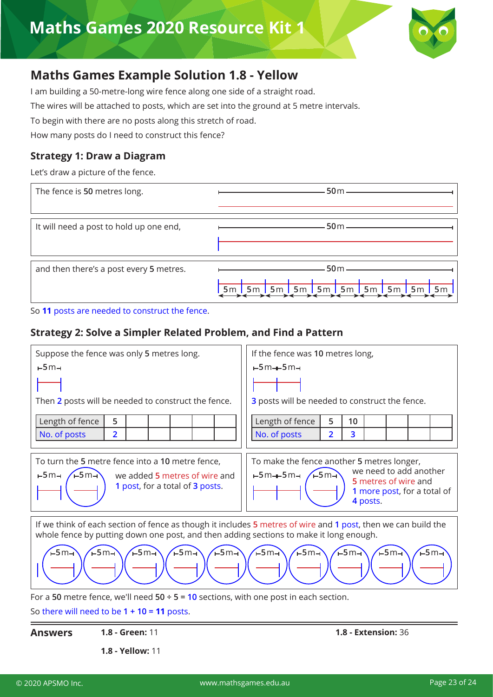

### **Maths Games Example Solution 1.8 - Yellow**

I am building a 50-metre-long wire fence along one side of a straight road.

The wires will be attached to posts, which are set into the ground at 5 metre intervals.

To begin with there are no posts along this stretch of road.

How many posts do I need to construct this fence?

#### **Strategy 1: Draw a Diagram**

Let's draw a picture of the fence.

| The fence is 50 metres long.            | $-50m$ —— |
|-----------------------------------------|-----------|
| It will need a post to hold up one end, | $-50m -$  |
| and then there's a post every 5 metres. | $-50m$ —  |

So **11** posts are needed to construct the fence.

#### **Strategy 2: Solve a Simpler Related Problem, and Find a Pattern**

| Suppose the fence was only 5 metres long.                                                                                                                                                               | If the fence was 10 metres long,                                                                                                                                   |  |  |  |  |  |  |
|---------------------------------------------------------------------------------------------------------------------------------------------------------------------------------------------------------|--------------------------------------------------------------------------------------------------------------------------------------------------------------------|--|--|--|--|--|--|
| $-5m-$                                                                                                                                                                                                  | $-5m + 5m +$                                                                                                                                                       |  |  |  |  |  |  |
|                                                                                                                                                                                                         |                                                                                                                                                                    |  |  |  |  |  |  |
| Then 2 posts will be needed to construct the fence.                                                                                                                                                     | 3 posts will be needed to construct the fence.                                                                                                                     |  |  |  |  |  |  |
| Length of fence<br>5                                                                                                                                                                                    | Length of fence<br>5<br>10                                                                                                                                         |  |  |  |  |  |  |
| $\overline{2}$<br>No. of posts                                                                                                                                                                          | 3<br>No. of posts<br>$\overline{2}$                                                                                                                                |  |  |  |  |  |  |
|                                                                                                                                                                                                         |                                                                                                                                                                    |  |  |  |  |  |  |
| To turn the 5 metre fence into a 10 metre fence,<br>$F5m-$<br>$-5m-1$<br>we added 5 metres of wire and<br>1 post, for a total of 3 posts.                                                               | To make the fence another 5 metres longer,<br>we need to add another<br>$\sqrt{5m}$<br>⊢5m––5m–<br>5 metres of wire and<br>1 more post, for a total of<br>4 posts. |  |  |  |  |  |  |
| If we think of each section of fence as though it includes 5 metres of wire and 1 post, then we can build the<br>whole fence by putting down one post, and then adding sections to make it long enough. |                                                                                                                                                                    |  |  |  |  |  |  |
| $-5m1$<br>$F$ 5m $\rightarrow$<br>$-5m$<br>$F$ 5m-<br>$-5m1$<br>$-5m1$<br>$-5m-$<br>$-5m-$<br>$-5m -$<br>-5 m⊣                                                                                          |                                                                                                                                                                    |  |  |  |  |  |  |
| For a 50 metre fence, we'll need $50 \div 5 = 10$ sections, with one post in each section.                                                                                                              |                                                                                                                                                                    |  |  |  |  |  |  |

So there will need to be **1 + 10 = 11** posts.

**1.8 - Yellow:** 11